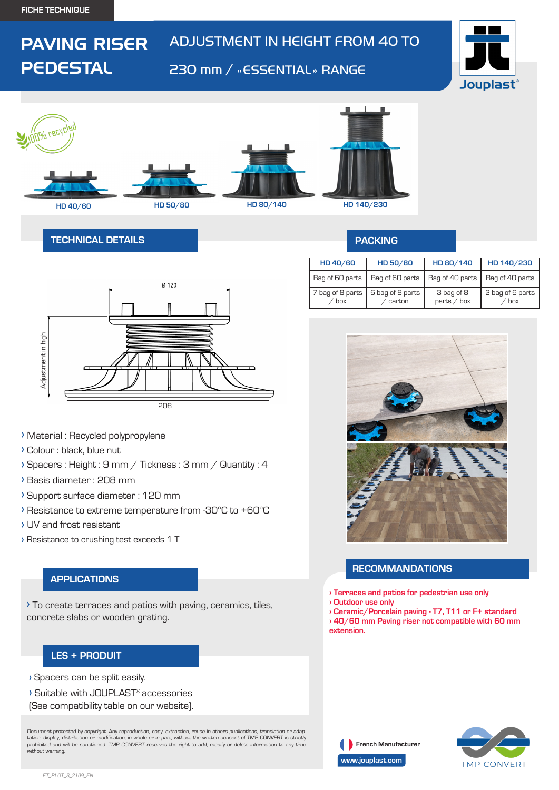PAVING RISER

**PEDESTAL** 

# ADJUSTMENT IN HEIGHT FROM 40 TO

# 230 mm / «ESSENTIAL» RANGE





### **TECHNICAL DETAILS**



- **›** Material : Recycled polypropylene
- **›** Colour : black, blue nut
- **›** Spacers : Height : 9 mm / Tickness : 3 mm / Quantity : 4
- **›** Basis diameter : 208 mm
- **›** Support surface diameter : 120 mm
- **›** Resistance to extreme temperature from -30°C to +60°C
- **›** UV and frost resistant
- **›** Resistance to crushing test exceeds 1 T

#### **APPLICATIONS**

**›** To create terraces and patios with paving, ceramics, tiles, concrete slabs or wooden grating.

# **LES + PRODUIT**

**›** Spacers can be split easily.

- **›** Suitable with JOUPLAST® accessories
- (See compatibility table on our website).

Document protected by copyright. Any reproduction, copy, extraction, reuse in others publications, translation or adaptation, display, distribution or modification, in whole or in part, without the written consent of TMP CONVERT is strictly prohibited and will be sanctioned. TMP CONVERT reserves the right to add, modify or delete information to any time without warning.

### **PACKING**

| HD 40/60                | HD 50/80                   | HD 80/140                   | HD 140/230              |
|-------------------------|----------------------------|-----------------------------|-------------------------|
| Bag of 60 parts         | Bag of 60 parts            | Bag of 40 parts             | Bag of 40 parts         |
| 7 bag of 8 parts<br>box | 6 bag of 8 parts<br>carton | 3 bag of 8<br>parts $/$ box | 2 bag of 6 parts<br>box |



#### **RECOMMANDATIONS**

- **› Terraces and patios for pedestrian use only**
- **› Outdoor use only**
- **› Ceramic/Porcelain paving T7, T11 or F+ standard**
- **› 40/60 mm Paving riser not compatible with 60 mm extension.**